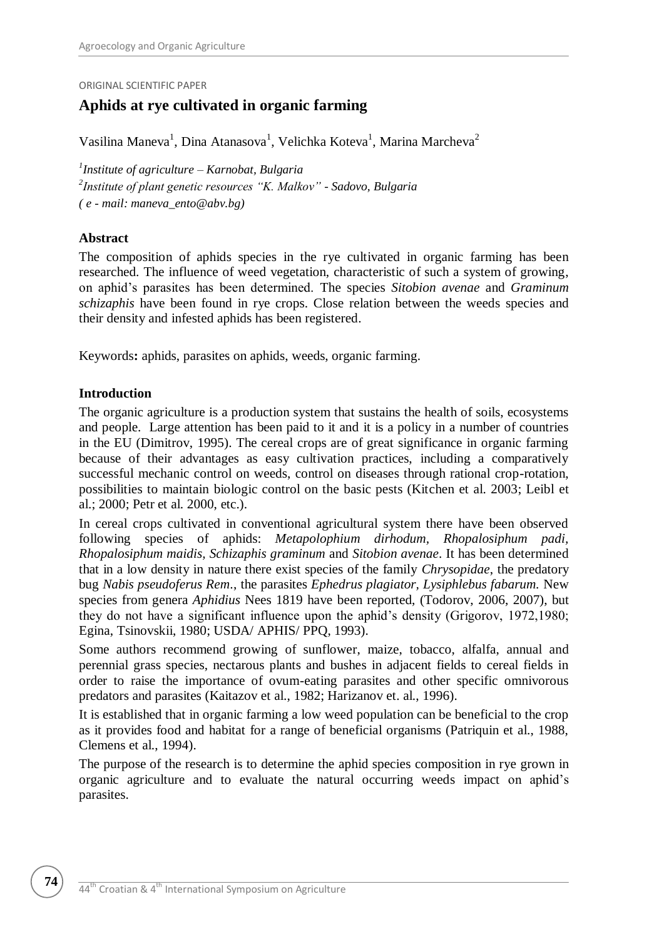ORIGINAL SCIENTIFIC PAPER

# **Aphids at rye cultivated in organic farming**

Vasilina Maneva<sup>1</sup>, Dina Atanasova<sup>1</sup>, Velichka Koteva<sup>1</sup>, Marina Marcheva<sup>2</sup>

*1 Institute of agriculture – Karnobat, Bulgaria 2 Institute of plant genetic resources "K. Malkov" - Sadovo, Bulgaria ( e - mail: maneva\_ento@abv.bg)*

#### **Abstract**

The composition of aphids species in the rye cultivated in organic farming has been researched. The influence of weed vegetation, characteristic of such a system of growing, on aphid's parasites has been determined. The species *Sitobion avenae* and *Graminum schizaphis* have been found in rye crops. Close relation between the weeds species and their density and infested aphids has been registered.

Keywords**:** aphids, parasites on aphids, weeds, organic farming.

#### **Introduction**

The organic agriculture is a production system that sustains the health of soils, ecosystems and people. Large attention has been paid to it and it is a policy in a number of countries in the EU (Dimitrov, 1995). The cereal crops are of great significance in organic farming because of their advantages as easy cultivation practices, including a comparatively successful mechanic control on weeds, control on diseases through rational crop-rotation, possibilities to maintain biologic control on the basic pests (Kitchen et al. 2003; Leibl et al.; 2000; Petr et al. 2000, etc.).

In cereal crops cultivated in conventional agricultural system there have been observed following species of aphids: *Metapolophium dirhodum, Rhopalosiphum padi, Rhopalosiphum maidis, Schizaphis graminum* and *Sitobion avenae*. It has been determined that in a low density in nature there exist species of the family *Chrysopidae*, the predatory bug *Nabis pseudoferus Rem*., the parasites *Ephedrus plagiator, Lysiphlebus fabarum.* New species from genera *Aphidius* Nees 1819 have been reported, (Todorov, 2006, 2007), but they do not have a significant influence upon the aphid's density (Grigorov, 1972,1980; Egina, Tsinovskii, 1980; USDA/ APHIS/ PPQ, 1993).

Some authors recommend growing of sunflower, maize, tobacco, alfalfa, annual and perennial grass species, nectarous plants and bushes in adjacent fields to cereal fields in order to raise the importance of ovum-eating parasites and other specific omnivorous predators and parasites (Kaitazov et al., 1982; Harizanov et. al., 1996).

It is established that in organic farming a low weed population can be beneficial to the crop as it provides food and habitat for a range of beneficial organisms (Patriquin et al., 1988, Clemens et al., 1994).

The purpose of the research is to determine the aphid species composition in rye grown in organic agriculture and to evaluate the natural occurring weeds impact on aphid's parasites.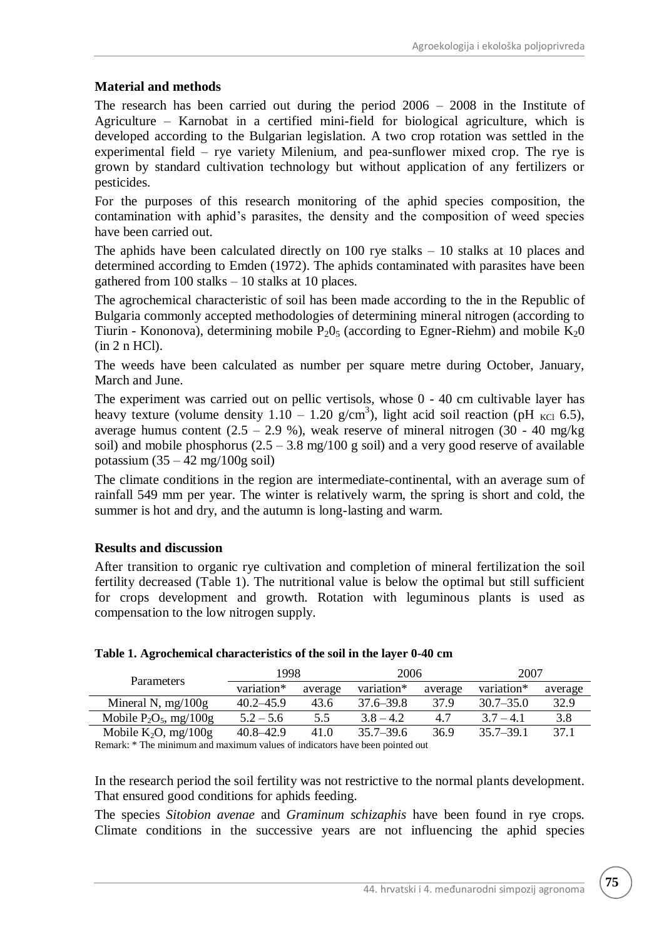## **Material and methods**

The research has been carried out during the period 2006 – 2008 in the Institute of Agriculture – Karnobat in a certified mini-field for biological agriculture, which is developed according to the Bulgarian legislation. A two crop rotation was settled in the experimental field – rye variety Milenium, and pea-sunflower mixed crop. The rye is grown by standard cultivation technology but without application of any fertilizers or pesticides.

For the purposes of this research monitoring of the aphid species composition, the contamination with aphid's parasites, the density and the composition of weed species have been carried out.

The aphids have been calculated directly on  $100$  rye stalks  $-10$  stalks at 10 places and determined according to Emden (1972). The aphids contaminated with parasites have been gathered from 100 stalks – 10 stalks at 10 places.

The agrochemical characteristic of soil has been made according to the in the Republic of Bulgaria commonly accepted methodologies of determining mineral nitrogen (according to Tiurin - Kononova), determining mobile  $P_2O_5$  (according to Egner-Riehm) and mobile  $K_2O$ (in 2 n HCl).

The weeds have been calculated as number per square metre during October, January, March and June.

The experiment was carried out on pellic vertisols, whose 0 - 40 cm cultivable layer has heavy texture (volume density  $1.10 - 1.20$  g/cm<sup>3</sup>), light acid soil reaction (pH <sub>KCl</sub> 6.5), average humus content  $(2.5 - 2.9 \%)$ , weak reserve of mineral nitrogen  $(30 - 40 \text{ mg/kg})$ soil) and mobile phosphorus  $(2.5 - 3.8 \text{ mg}/100 \text{ g} \text{ soil})$  and a very good reserve of available potassium  $(35 - 42 \text{ mg}/100 \text{g} \text{ soil})$ 

The climate conditions in the region are intermediate-continental, with an average sum of rainfall 549 mm per year. The winter is relatively warm, the spring is short and cold, the summer is hot and dry, and the autumn is long-lasting and warm.

## **Results and discussion**

After transition to organic rye cultivation and completion of mineral fertilization the soil fertility decreased (Table 1). The nutritional value is below the optimal but still sufficient for crops development and growth. Rotation with leguminous plants is used as compensation to the low nitrogen supply.

| <b>Parameters</b>         | 1998          |         | 2006          |         | 2007          |         |
|---------------------------|---------------|---------|---------------|---------|---------------|---------|
|                           | variation*    | average | variation*    | average | variation*    | average |
| Mineral N, $mg/100g$      | $40.2 - 45.9$ | 43.6    | $37.6 - 39.8$ | 37.9    | $30.7 - 35.0$ | 32.9    |
| Mobile $P_2O_5$ , mg/100g | $5.2 - 5.6$   | 5.5     | $3.8 - 4.2$   | 4.7     | $3.7 - 4.1$   | 3.8     |
| Mobile $K_2O$ , mg/100g   | $40.8 - 42.9$ | 41.0    | $35.7 - 39.6$ | 36.9    | $35.7 - 39.1$ | 37.1    |

## **Table 1. Agrochemical characteristics of the soil in the layer 0-40 cm**

Remark: \* The minimum and maximum values of indicators have been pointed out

In the research period the soil fertility was not restrictive to the normal plants development. That ensured good conditions for aphids feeding.

The species *Sitobion avenae* and *Graminum schizaphis* have been found in rye crops*.*  Climate conditions in the successive years are not influencing the aphid species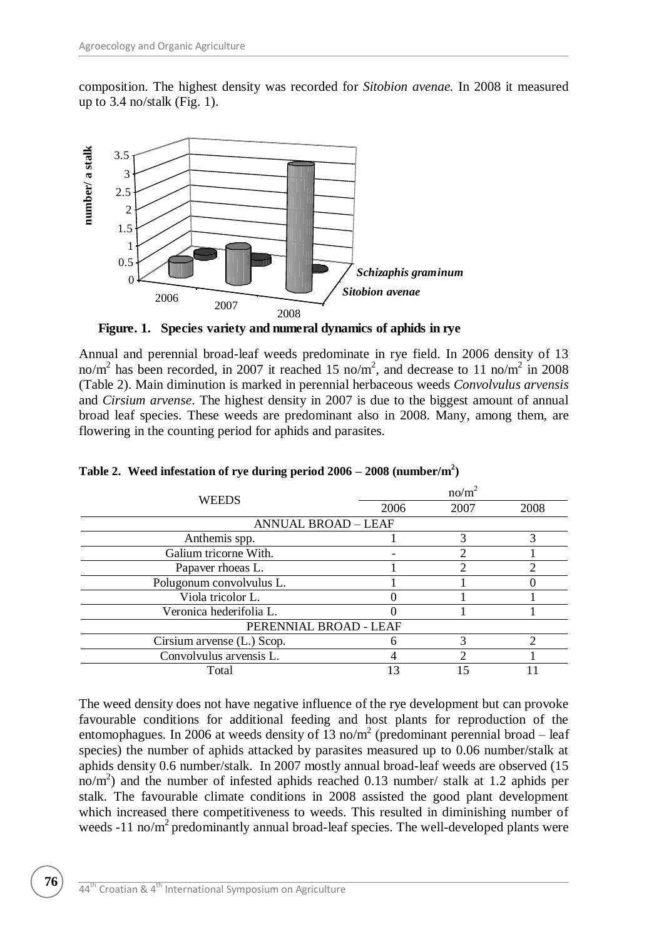composition. The highest density was recorded for *Sitobion avenae.* In 2008 it measured up to 3.4 no/stalk (Fig. 1).



**Figure. 1. Species variety and numeral dynamics of aphids in rye**

Annual and perennial broad-leaf weeds predominate in rye field. In 2006 density of 13 no/m<sup>2</sup> has been recorded, in 2007 it reached 15 no/m<sup>2</sup>, and decrease to 11 no/m<sup>2</sup> in 2008 (Table 2). Main diminution is marked in perennial herbaceous weeds *Convolvulus arvensis*  and *Cirsium arvense*. The highest density in 2007 is due to the biggest amount of annual broad leaf species. These weeds are predominant also in 2008. Many, among them, are flowering in the counting period for aphids and parasites.

| <b>WEEDS</b>               | no/m <sup>2</sup> |      |      |  |  |  |  |
|----------------------------|-------------------|------|------|--|--|--|--|
|                            | 2006              | 2007 | 2008 |  |  |  |  |
| <b>ANNUAL BROAD - LEAF</b> |                   |      |      |  |  |  |  |
| Anthemis spp.              |                   |      |      |  |  |  |  |
| Galium tricorne With.      |                   |      |      |  |  |  |  |
| Papaver rhoeas L.          |                   |      |      |  |  |  |  |
| Polugonum convolvulus L.   |                   |      |      |  |  |  |  |
| Viola tricolor L.          |                   |      |      |  |  |  |  |
| Veronica hederifolia L.    |                   |      |      |  |  |  |  |
| PERENNIAL BROAD - LEAF     |                   |      |      |  |  |  |  |
| Cirsium arvense (L.) Scop. | h                 |      |      |  |  |  |  |
| Convolvulus arvensis L.    |                   |      |      |  |  |  |  |
| Total                      |                   |      |      |  |  |  |  |

**Table 2. Weed infestation of rye during period 2006 – 2008 (number/m<sup>2</sup> )**

The weed density does not have negative influence of the rye development but can provoke favourable conditions for additional feeding and host plants for reproduction of the entomophagues. In 2006 at weeds density of  $13 \text{ no/m}^2$  (predominant perennial broad – leaf species) the number of aphids attacked by parasites measured up to 0.06 number/stalk at aphids density 0.6 number/stalk. In 2007 mostly annual broad-leaf weeds are observed (15 no/m<sup>2</sup>) and the number of infested aphids reached 0.13 number/ stalk at 1.2 aphids per stalk. The favourable climate conditions in 2008 assisted the good plant development which increased there competitiveness to weeds. This resulted in diminishing number of weeds  $-11$  no/m<sup>2</sup> predominantly annual broad-leaf species. The well-developed plants were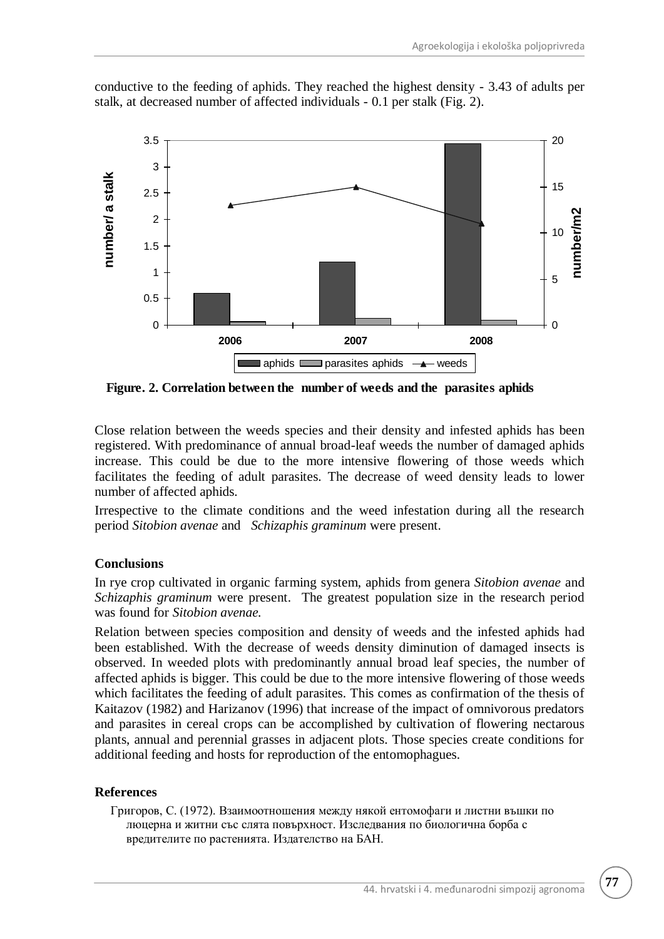conductive to the feeding of aphids. They reached the highest density - 3.43 of adults per stalk, at decreased number of affected individuals - 0.1 per stalk (Fig. 2).



**Figure. 2. Correlation between the number of weeds and the parasites aphids**

Close relation between the weeds species and their density and infested aphids has been registered. With predominance of annual broad-leaf weeds the number of damaged aphids increase. This could be due to the more intensive flowering of those weeds which facilitates the feeding of adult parasites. The decrease of weed density leads to lower number of affected aphids.

Irrespective to the climate conditions and the weed infestation during all the research period *Sitobion avenae* and *Schizaphis graminum* were present.

## **Conclusions**

In rye crop cultivated in organic farming system, aphids from genera *Sitobion avenae* and *Schizaphis graminum* were present. The greatest population size in the research period was found for *Sitobion avenae.* 

Relation between species composition and density of weeds and the infested aphids had been established. With the decrease of weeds density diminution of damaged insects is observed. In weeded plots with predominantly annual broad leaf species, the number of affected aphids is bigger. This could be due to the more intensive flowering of those weeds which facilitates the feeding of adult parasites. This comes as confirmation of the thesis of Kaitazov (1982) and Harizanov (1996) that increase of the impact of omnivorous predators and parasites in cereal crops can be accomplished by cultivation of flowering nectarous plants, annual and perennial grasses in adjacent plots. Those species create conditions for additional feeding and hosts for reproduction of the entomophagues.

## **References**

Григоров, С. (1972). Взаимоотношения между някой ентомофаги и листни въшки по люцерна и житни със слята повърхност. Изследвания по биологична борба с вредителите по растенията. Издателство на БАН.